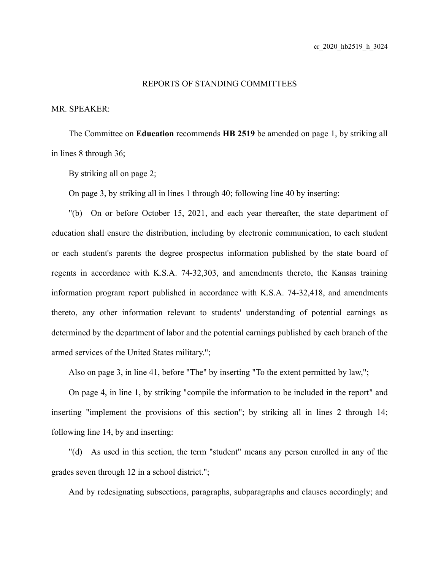## REPORTS OF STANDING COMMITTEES

MR. SPEAKER:

The Committee on **Education** recommends **HB 2519** be amended on page 1, by striking all in lines 8 through 36;

By striking all on page 2;

On page 3, by striking all in lines 1 through 40; following line 40 by inserting:

"(b) On or before October 15, 2021, and each year thereafter, the state department of education shall ensure the distribution, including by electronic communication, to each student or each student's parents the degree prospectus information published by the state board of regents in accordance with K.S.A. 74-32,303, and amendments thereto, the Kansas training information program report published in accordance with K.S.A. 74-32,418, and amendments thereto, any other information relevant to students' understanding of potential earnings as determined by the department of labor and the potential earnings published by each branch of the armed services of the United States military.";

Also on page 3, in line 41, before "The" by inserting "To the extent permitted by law,";

On page 4, in line 1, by striking "compile the information to be included in the report" and inserting "implement the provisions of this section"; by striking all in lines 2 through 14; following line 14, by and inserting:

"(d) As used in this section, the term "student" means any person enrolled in any of the grades seven through 12 in a school district.";

And by redesignating subsections, paragraphs, subparagraphs and clauses accordingly; and